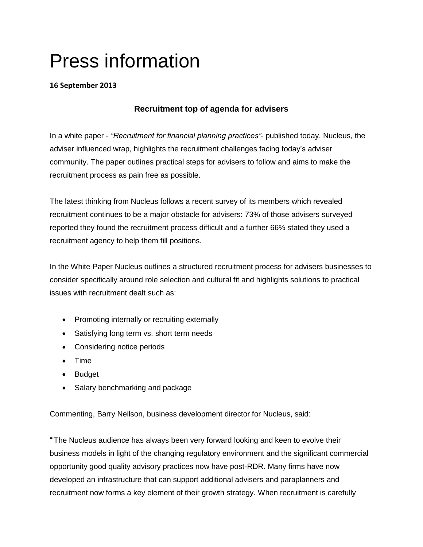## Press information

## **16 September 2013**

## **Recruitment top of agenda for advisers**

In a white paper - *"Recruitment for financial planning practices"*- published today, Nucleus, the adviser influenced wrap, highlights the recruitment challenges facing today's adviser community. The paper outlines practical steps for advisers to follow and aims to make the recruitment process as pain free as possible.

The latest thinking from Nucleus follows a recent survey of its members which revealed recruitment continues to be a major obstacle for advisers: 73% of those advisers surveyed reported they found the recruitment process difficult and a further 66% stated they used a recruitment agency to help them fill positions.

In the White Paper Nucleus outlines a structured recruitment process for advisers businesses to consider specifically around role selection and cultural fit and highlights solutions to practical issues with recruitment dealt such as:

- Promoting internally or recruiting externally
- Satisfying long term vs. short term needs
- Considering notice periods
- Time
- Budget
- Salary benchmarking and package

Commenting, Barry Neilson, business development director for Nucleus, said:

"'The Nucleus audience has always been very forward looking and keen to evolve their business models in light of the changing regulatory environment and the significant commercial opportunity good quality advisory practices now have post-RDR. Many firms have now developed an infrastructure that can support additional advisers and paraplanners and recruitment now forms a key element of their growth strategy. When recruitment is carefully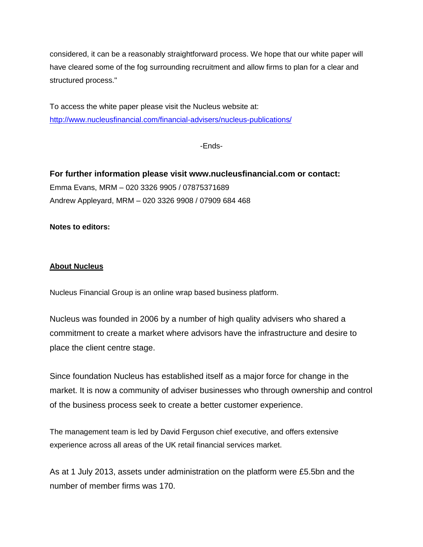considered, it can be a reasonably straightforward process. We hope that our white paper will have cleared some of the fog surrounding recruitment and allow firms to plan for a clear and structured process."

To access the white paper please visit the Nucleus website at: <http://www.nucleusfinancial.com/financial-advisers/nucleus-publications/>

-Ends-

**For further information please visit www.nucleusfinancial.com or contact:** Emma Evans, MRM – 020 3326 9905 / 07875371689 Andrew Appleyard, MRM – 020 3326 9908 / 07909 684 468

**Notes to editors:**

## **About Nucleus**

Nucleus Financial Group is an online wrap based business platform.

Nucleus was founded in 2006 by a number of high quality advisers who shared a commitment to create a market where advisors have the infrastructure and desire to place the client centre stage.

Since foundation Nucleus has established itself as a major force for change in the market. It is now a community of adviser businesses who through ownership and control of the business process seek to create a better customer experience.

The management team is led by David Ferguson chief executive, and offers extensive experience across all areas of the UK retail financial services market.

As at 1 July 2013, assets under administration on the platform were £5.5bn and the number of member firms was 170.